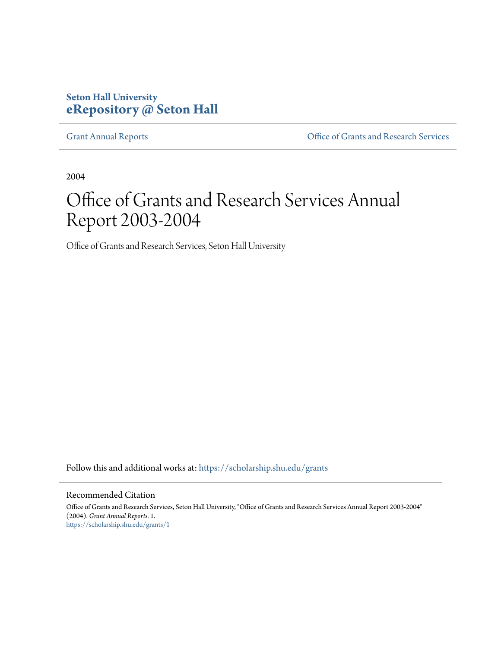## **Seton Hall University [eRepository @ Seton Hall](https://scholarship.shu.edu?utm_source=scholarship.shu.edu%2Fgrants%2F1&utm_medium=PDF&utm_campaign=PDFCoverPages)**

[Grant Annual Reports](https://scholarship.shu.edu/grants?utm_source=scholarship.shu.edu%2Fgrants%2F1&utm_medium=PDF&utm_campaign=PDFCoverPages) [Office of Grants and Research Services](https://scholarship.shu.edu/ogrs?utm_source=scholarship.shu.edu%2Fgrants%2F1&utm_medium=PDF&utm_campaign=PDFCoverPages)

2004

## Office of Grants and Research Services Annual Report 2003-2004

Office of Grants and Research Services, Seton Hall University

Follow this and additional works at: [https://scholarship.shu.edu/grants](https://scholarship.shu.edu/grants?utm_source=scholarship.shu.edu%2Fgrants%2F1&utm_medium=PDF&utm_campaign=PDFCoverPages)

## Recommended Citation

Office of Grants and Research Services, Seton Hall University, "Office of Grants and Research Services Annual Report 2003-2004" (2004). *Grant Annual Reports*. 1. [https://scholarship.shu.edu/grants/1](https://scholarship.shu.edu/grants/1?utm_source=scholarship.shu.edu%2Fgrants%2F1&utm_medium=PDF&utm_campaign=PDFCoverPages)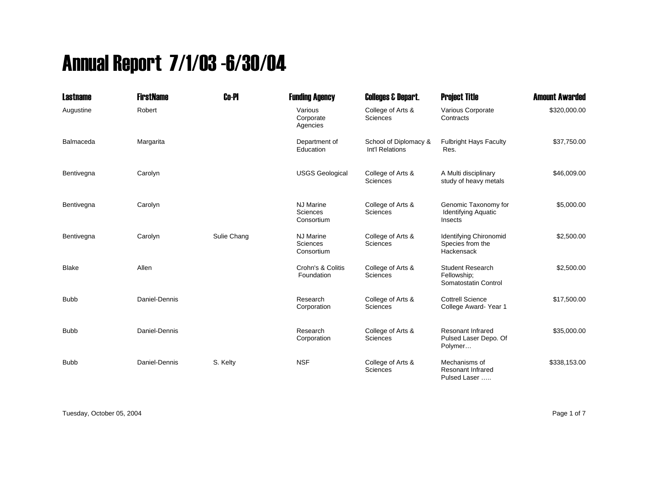## Annual Report 7/1/03 -6/30/04

| <b>Lastname</b> | <b>FirstName</b> | <b>Co-PI</b> | <b>Funding Agency</b>                      | <b>Colleges &amp; Depart.</b>            | <b>Project Title</b>                                           | <b>Amount Awarded</b> |
|-----------------|------------------|--------------|--------------------------------------------|------------------------------------------|----------------------------------------------------------------|-----------------------|
| Augustine       | Robert           |              | Various<br>Corporate<br>Agencies           | College of Arts &<br><b>Sciences</b>     | Various Corporate<br>Contracts                                 | \$320,000.00          |
| Balmaceda       | Margarita        |              | Department of<br>Education                 | School of Diplomacy &<br>Int'l Relations | <b>Fulbright Hays Faculty</b><br>Res.                          | \$37,750.00           |
| Bentivegna      | Carolyn          |              | <b>USGS Geological</b>                     | College of Arts &<br><b>Sciences</b>     | A Multi disciplinary<br>study of heavy metals                  | \$46,009.00           |
| Bentivegna      | Carolyn          |              | <b>NJ Marine</b><br>Sciences<br>Consortium | College of Arts &<br><b>Sciences</b>     | Genomic Taxonomy for<br><b>Identifying Aquatic</b><br>Insects  | \$5,000.00            |
| Bentivegna      | Carolyn          | Sulie Chang  | <b>NJ Marine</b><br>Sciences<br>Consortium | College of Arts &<br><b>Sciences</b>     | Identifying Chironomid<br>Species from the<br>Hackensack       | \$2,500.00            |
| <b>Blake</b>    | Allen            |              | Crohn's & Colitis<br>Foundation            | College of Arts &<br><b>Sciences</b>     | <b>Student Research</b><br>Fellowship;<br>Somatostatin Control | \$2,500.00            |
| <b>Bubb</b>     | Daniel-Dennis    |              | Research<br>Corporation                    | College of Arts &<br><b>Sciences</b>     | <b>Cottrell Science</b><br>College Award-Year 1                | \$17,500.00           |
| <b>Bubb</b>     | Daniel-Dennis    |              | Research<br>Corporation                    | College of Arts &<br><b>Sciences</b>     | <b>Resonant Infrared</b><br>Pulsed Laser Depo. Of<br>Polymer   | \$35,000.00           |
| <b>Bubb</b>     | Daniel-Dennis    | S. Kelty     | <b>NSF</b>                                 | College of Arts &<br>Sciences            | Mechanisms of<br><b>Resonant Infrared</b><br>Pulsed Laser      | \$338,153.00          |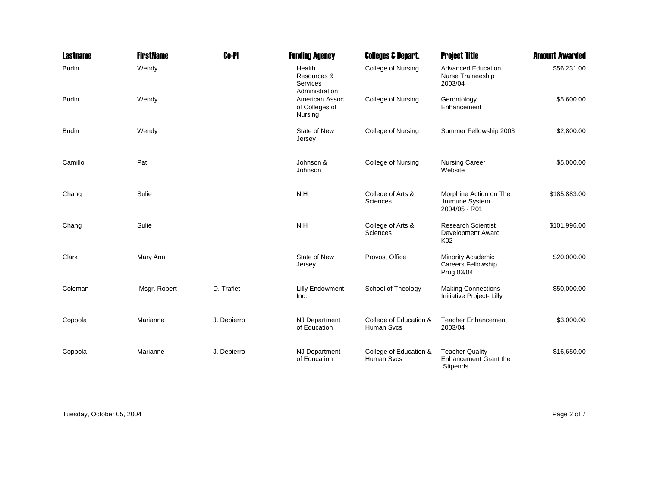| <b>Lastname</b> | <b>FirstName</b> | <b>Co-PI</b> | <b>Funding Agency</b>                               | <b>Colleges &amp; Depart.</b>               | <b>Project Title</b>                                                      | <b>Amount Awarded</b> |
|-----------------|------------------|--------------|-----------------------------------------------------|---------------------------------------------|---------------------------------------------------------------------------|-----------------------|
| <b>Budin</b>    | Wendy            |              | Health<br>Resources &<br>Services<br>Administration | <b>College of Nursing</b>                   | <b>Advanced Education</b><br>Nurse Traineeship<br>2003/04                 | \$56,231.00           |
| <b>Budin</b>    | Wendy            |              | American Assoc<br>of Colleges of<br>Nursing         | College of Nursing                          | Gerontology<br>Enhancement                                                | \$5,600.00            |
| <b>Budin</b>    | Wendy            |              | State of New<br>Jersey                              | College of Nursing                          | Summer Fellowship 2003                                                    | \$2,800.00            |
| Camillo         | Pat              |              | Johnson &<br>Johnson                                | <b>College of Nursing</b>                   | <b>Nursing Career</b><br>Website                                          | \$5,000.00            |
| Chang           | Sulie            |              | <b>NIH</b>                                          | College of Arts &<br>Sciences               | Morphine Action on The<br>Immune System<br>2004/05 - R01                  | \$185,883.00          |
| Chang           | Sulie            |              | <b>NIH</b>                                          | College of Arts &<br><b>Sciences</b>        | <b>Research Scientist</b><br>Development Award<br>K02                     | \$101,996.00          |
| Clark           | Mary Ann         |              | State of New<br>Jersey                              | Provost Office                              | <b>Minority Academic</b><br>Careers Fellowship<br>Prog 03/04              | \$20,000.00           |
| Coleman         | Msgr. Robert     | D. Traflet   | <b>Lilly Endowment</b><br>Inc.                      | School of Theology                          | <b>Making Connections</b><br>Initiative Project- Lilly                    | \$50,000.00           |
| Coppola         | Marianne         | J. Depierro  | <b>NJ Department</b><br>of Education                | College of Education &<br>Human Svcs        | <b>Teacher Enhancement</b><br>2003/04                                     | \$3,000.00            |
| Coppola         | Marianne         | J. Depierro  | <b>NJ Department</b><br>of Education                | College of Education &<br><b>Human Svcs</b> | <b>Teacher Quality</b><br><b>Enhancement Grant the</b><br><b>Stipends</b> | \$16,650.00           |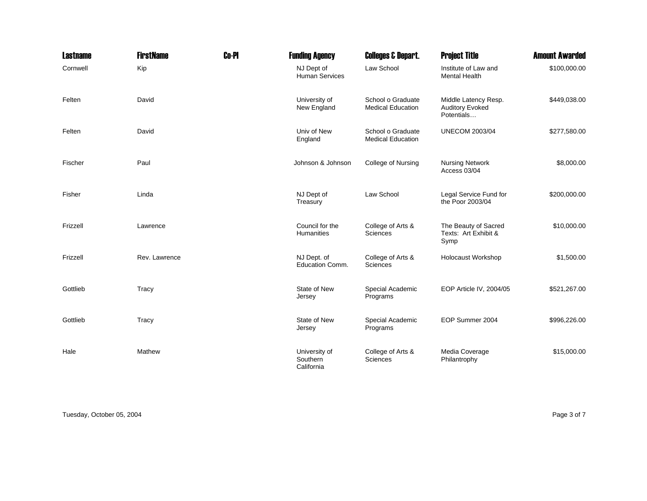| <b>Lastname</b> | <b>FirstName</b> | <b>Co-PI</b> | <b>Funding Agency</b>                   | <b>Colleges &amp; Depart.</b>                 | <b>Project Title</b>                                         | <b>Amount Awarded</b> |
|-----------------|------------------|--------------|-----------------------------------------|-----------------------------------------------|--------------------------------------------------------------|-----------------------|
| Cornwell        | Kip              |              | NJ Dept of<br><b>Human Services</b>     | Law School                                    | Institute of Law and<br><b>Mental Health</b>                 | \$100,000.00          |
| Felten          | David            |              | University of<br>New England            | School o Graduate<br><b>Medical Education</b> | Middle Latency Resp.<br><b>Auditory Evoked</b><br>Potentials | \$449,038.00          |
| Felten          | David            |              | Univ of New<br>England                  | School o Graduate<br><b>Medical Education</b> | <b>UNECOM 2003/04</b>                                        | \$277,580.00          |
| Fischer         | Paul             |              | Johnson & Johnson                       | <b>College of Nursing</b>                     | <b>Nursing Network</b><br>Access 03/04                       | \$8,000.00            |
| Fisher          | Linda            |              | NJ Dept of<br>Treasury                  | Law School                                    | Legal Service Fund for<br>the Poor 2003/04                   | \$200,000.00          |
| Frizzell        | Lawrence         |              | Council for the<br>Humanities           | College of Arts &<br>Sciences                 | The Beauty of Sacred<br>Texts: Art Exhibit &<br>Symp         | \$10,000.00           |
| Frizzell        | Rev. Lawrence    |              | NJ Dept. of<br>Education Comm.          | College of Arts &<br>Sciences                 | Holocaust Workshop                                           | \$1,500.00            |
| Gottlieb        | Tracy            |              | State of New<br>Jersey                  | Special Academic<br>Programs                  | EOP Article IV, 2004/05                                      | \$521,267.00          |
| Gottlieb        | Tracy            |              | State of New<br>Jersey                  | Special Academic<br>Programs                  | EOP Summer 2004                                              | \$996,226.00          |
| Hale            | Mathew           |              | University of<br>Southern<br>California | College of Arts &<br>Sciences                 | Media Coverage<br>Philantrophy                               | \$15,000.00           |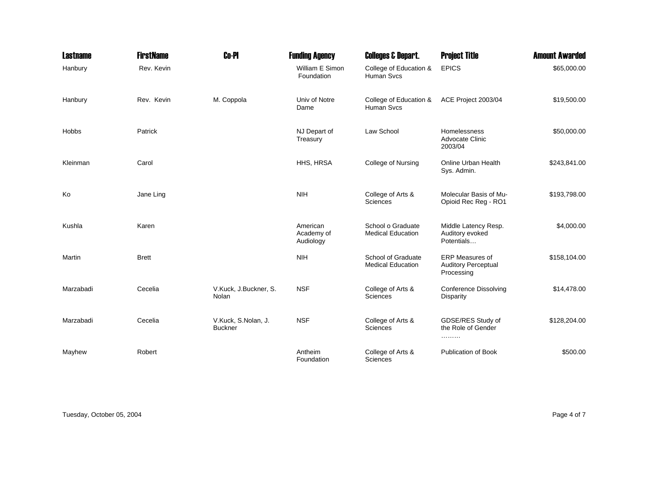| <b>Lastname</b> | <b>FirstName</b> | <b>Co-PI</b>                          | <b>Funding Agency</b>               | <b>Colleges &amp; Depart.</b>                  | <b>Project Title</b>                                               | <b>Amount Awarded</b> |
|-----------------|------------------|---------------------------------------|-------------------------------------|------------------------------------------------|--------------------------------------------------------------------|-----------------------|
| Hanbury         | Rev. Kevin       |                                       | William E Simon<br>Foundation       | College of Education &<br>Human Svcs           | <b>EPICS</b>                                                       | \$65,000.00           |
| Hanbury         | Rev. Kevin       | M. Coppola                            | Univ of Notre<br>Dame               | College of Education &<br>Human Svcs           | ACE Project 2003/04                                                | \$19,500.00           |
| Hobbs           | Patrick          |                                       | NJ Depart of<br>Treasury            | Law School                                     | Homelessness<br>Advocate Clinic<br>2003/04                         | \$50,000.00           |
| Kleinman        | Carol            |                                       | HHS, HRSA                           | College of Nursing                             | Online Urban Health<br>Sys. Admin.                                 | \$243,841.00          |
| Ko              | Jane Ling        |                                       | <b>NIH</b>                          | College of Arts &<br>Sciences                  | Molecular Basis of Mu-<br>Opioid Rec Reg - RO1                     | \$193,798.00          |
| Kushla          | Karen            |                                       | American<br>Academy of<br>Audiology | School o Graduate<br><b>Medical Education</b>  | Middle Latency Resp.<br>Auditory evoked<br>Potentials              | \$4,000.00            |
| Martin          | <b>Brett</b>     |                                       | <b>NIH</b>                          | School of Graduate<br><b>Medical Education</b> | <b>ERP Measures of</b><br><b>Auditory Perceptual</b><br>Processing | \$158,104.00          |
| Marzabadi       | Cecelia          | V.Kuck, J.Buckner, S.<br>Nolan        | <b>NSF</b>                          | College of Arts &<br>Sciences                  | <b>Conference Dissolving</b><br>Disparity                          | \$14,478.00           |
| Marzabadi       | Cecelia          | V.Kuck, S.Nolan, J.<br><b>Buckner</b> | <b>NSF</b>                          | College of Arts &<br>Sciences                  | GDSE/RES Study of<br>the Role of Gender<br>.                       | \$128,204.00          |
| Mayhew          | Robert           |                                       | Antheim<br>Foundation               | College of Arts &<br>Sciences                  | <b>Publication of Book</b>                                         | \$500.00              |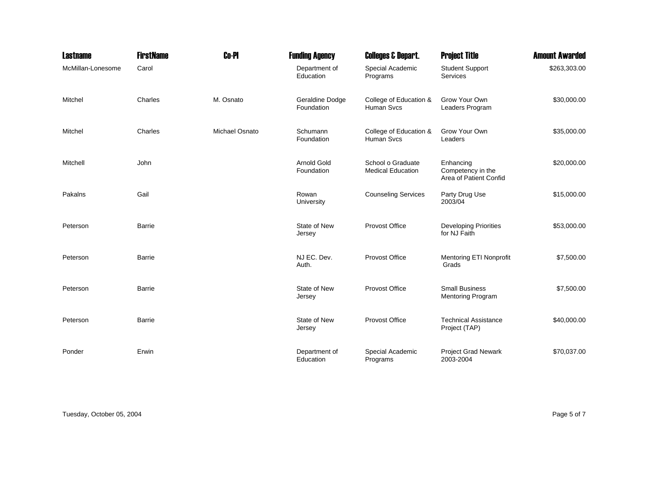| <b>Lastname</b>   | <b>FirstName</b> | <b>Co-PI</b>          | <b>Funding Agency</b>            | <b>Colleges &amp; Depart.</b>                 | <b>Project Title</b>                                     | <b>Amount Awarded</b> |
|-------------------|------------------|-----------------------|----------------------------------|-----------------------------------------------|----------------------------------------------------------|-----------------------|
| McMillan-Lonesome | Carol            |                       | Department of<br>Education       | Special Academic<br>Programs                  | <b>Student Support</b><br><b>Services</b>                | \$263,303.00          |
| Mitchel           | Charles          | M. Osnato             | Geraldine Dodge<br>Foundation    | College of Education &<br>Human Svcs          | Grow Your Own<br>Leaders Program                         | \$30,000.00           |
| Mitchel           | Charles          | <b>Michael Osnato</b> | Schumann<br>Foundation           | College of Education &<br>Human Svcs          | Grow Your Own<br>Leaders                                 | \$35,000.00           |
| Mitchell          | John             |                       | <b>Arnold Gold</b><br>Foundation | School o Graduate<br><b>Medical Education</b> | Enhancing<br>Competency in the<br>Area of Patient Confid | \$20,000.00           |
| Pakalns           | Gail             |                       | Rowan<br>University              | <b>Counseling Services</b>                    | Party Drug Use<br>2003/04                                | \$15,000.00           |
| Peterson          | Barrie           |                       | State of New<br>Jersey           | Provost Office                                | <b>Developing Priorities</b><br>for NJ Faith             | \$53,000.00           |
| Peterson          | Barrie           |                       | NJ EC. Dev.<br>Auth.             | Provost Office                                | <b>Mentoring ETI Nonprofit</b><br>Grads                  | \$7,500.00            |
| Peterson          | Barrie           |                       | State of New<br>Jersey           | Provost Office                                | <b>Small Business</b><br><b>Mentoring Program</b>        | \$7,500.00            |
| Peterson          | Barrie           |                       | State of New<br>Jersey           | Provost Office                                | <b>Technical Assistance</b><br>Project (TAP)             | \$40,000.00           |
| Ponder            | Erwin            |                       | Department of<br>Education       | Special Academic<br>Programs                  | <b>Project Grad Newark</b><br>2003-2004                  | \$70,037.00           |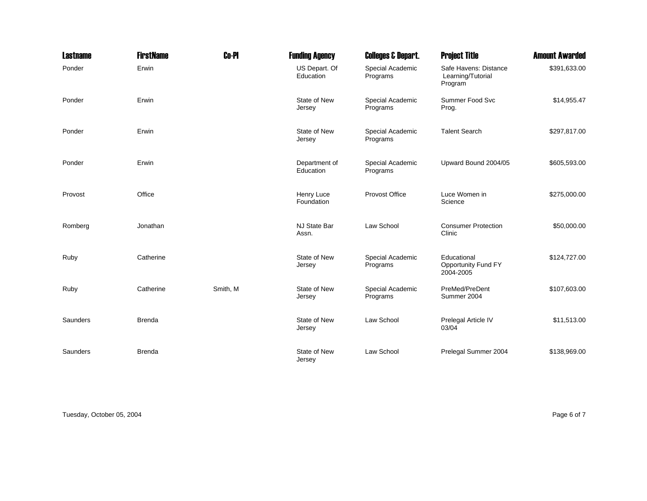| <b>Lastname</b> | <b>FirstName</b> | <b>Co-PI</b> | <b>Funding Agency</b>      | <b>Colleges &amp; Depart.</b> | <b>Project Title</b>                                  | <b>Amount Awarded</b> |
|-----------------|------------------|--------------|----------------------------|-------------------------------|-------------------------------------------------------|-----------------------|
| Ponder          | Erwin            |              | US Depart. Of<br>Education | Special Academic<br>Programs  | Safe Havens: Distance<br>Learning/Tutorial<br>Program | \$391,633.00          |
| Ponder          | Erwin            |              | State of New<br>Jersey     | Special Academic<br>Programs  | Summer Food Svc<br>Prog.                              | \$14,955.47           |
| Ponder          | Erwin            |              | State of New<br>Jersey     | Special Academic<br>Programs  | <b>Talent Search</b>                                  | \$297,817.00          |
| Ponder          | Erwin            |              | Department of<br>Education | Special Academic<br>Programs  | Upward Bound 2004/05                                  | \$605,593.00          |
| Provost         | Office           |              | Henry Luce<br>Foundation   | Provost Office                | Luce Women in<br>Science                              | \$275,000.00          |
| Romberg         | Jonathan         |              | NJ State Bar<br>Assn.      | Law School                    | <b>Consumer Protection</b><br>Clinic                  | \$50,000.00           |
| Ruby            | Catherine        |              | State of New<br>Jersey     | Special Academic<br>Programs  | Educational<br>Opportunity Fund FY<br>2004-2005       | \$124,727.00          |
| Ruby            | Catherine        | Smith, M     | State of New<br>Jersey     | Special Academic<br>Programs  | PreMed/PreDent<br>Summer 2004                         | \$107,603.00          |
| Saunders        | <b>Brenda</b>    |              | State of New<br>Jersey     | Law School                    | Prelegal Article IV<br>03/04                          | \$11,513.00           |
| Saunders        | <b>Brenda</b>    |              | State of New<br>Jersey     | Law School                    | Prelegal Summer 2004                                  | \$138,969.00          |